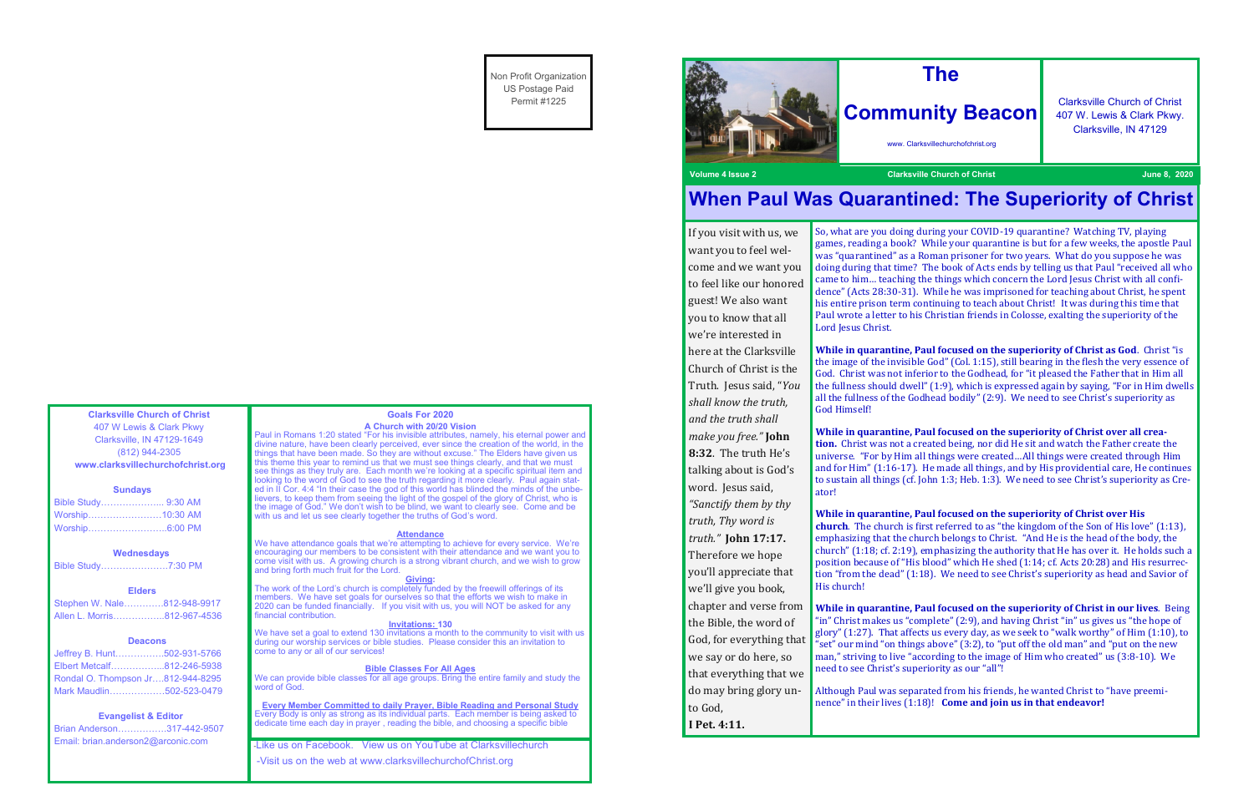**Clarksville Church of Christ** 407 W Lewis & Clark Pkwy Clarksville, IN 47129-1649 (812) 944-2305 **www.clarksvillechurchofchrist.org**

#### **Sundays**

| Bible Study 9:30 AM |  |
|---------------------|--|
| Worship10:30 AM     |  |
| Worship6:00 PM      |  |

#### **Wednesdays**

Bible Study………………….7:30 PM

### **Elders**

Stephen W. Nale………….812-948-9917 Allen L. Morris……………..812-967-4536

### **Deacons**

| Jeffrey B. Hunt502-931-5766       |  |
|-----------------------------------|--|
| Elbert Metcalf812-246-5938        |  |
| Rondal O. Thompson Jr812-944-8295 |  |
| Mark Maudlin502-523-0479          |  |

### **Evangelist & Editor**

| Brian Anderson317-442-9507         |  |
|------------------------------------|--|
| Email: brian.anderson2@arconic.com |  |

#### **Goals For 2020 A Church with 20/20 Vision**

The work of the Lord's church is completely funded by the freewill offerings of its members. We have set goals for ourselves so that the efforts we wish to make in 2020 can be funded financially. If you visit with us, you will NOT be asked for any inancial contribution.

Paul in Romans 1:20 stated "For his invisible attributes, namely, his eternal power and divine nature, have been clearly perceived, ever since the creation of the world, in the things that have been made. So they are without excuse." The Elders have given us this theme this year to remind us that we must see things clearly, and that we must see things as they truly are. Each month we're looking at a specific spiritual item and looking to the word of God to see the truth regarding it more clearly. Paul again stated in II Cor. 4:4 "In their case the god of this world has blinded the minds of the unbelievers, to keep them from seeing the light of the gospel of the glory of Christ, who is the image of God." We don't wish to be blind, we want to clearly see. Come and be with us and let us see clearly together the truths of God's word.

We have set a goal to extend 130 invitations a month to the community to visit with us during our worship services or bible studies. Please consider this an invitation to come to any or all of our services!

We can provide bible classes for all age groups. Bring the entire family and study the word of God.

#### **Attendance**

We have attendance goals that we're attempting to achieve for every service. We're encouraging our members to be consistent with their attendance and we want you to come visit with us. A growing church is a strong vibrant church, and we wish to grow and bring forth much fruit for the Lord.

#### **Giving:**

#### **Invitations: 130**

#### **Bible Classes For All Ages**

**Every Member Committed to daily Prayer, Bible Reading and Personal Study** Every Body is only as strong as its individual parts. Each member is being asked to dedicate time each day in prayer , reading the bible, and choosing a specific bible

-Like us on Facebook. View us on YouTube at Clarksvillechurch

-Visit us on the web at www.clarksvillechurchofChrist.org

Non Profit Organization US Postage Paid Permit #1225





*shall know the truth, and the truth shall make you free."* **John 8:32**. The truth He's

word. Jesus said, *"Sanctify them by thy truth, Thy word is truth."* **John 17:17.**  Therefore we hope

you'll appreciate that we'll give you book,

the Bible, the word of God, for everything that we say or do here, so that everything that we do may bring glory un-

to God, **I Pet. 4:11.**

## **Volume 4 Issue 2 Clarksville Church of Christ June 8, 2020**

If you visit with us, we want you to feel welcome and we want you to feel like our honored guest! We also want you to know that all we're interested in here at the Clarksville Church of Christ is the Truth. Jesus said, "*You*  Lord Jesus Christ.

## **When Paul Was Quarantined: The Superiority of Christ**

So, what are you doing during your COVID-19 quarantine? Watching TV, playing games, reading a book? While your quarantine is but for a few weeks, the apostle Paul was "quarantined" as a Roman prisoner for two years. What do you suppose he was doing during that time? The book of Acts ends by telling us that Paul "received all who came to him… teaching the things which concern the Lord Jesus Christ with all confidence" (Acts 28:30-31). While he was imprisoned for teaching about Christ, he spent his entire prison term continuing to teach about Christ! It was during this time that Paul wrote a letter to his Christian friends in Colosse, exalting the superiority of the

talking about is God's ator!

chapter and verse from His church!

**While in quarantine, Paul focused on the superiority of Christ as God**. Christ "is the image of the invisible God" (Col. 1:15), still bearing in the flesh the very essence of God. Christ was not inferior to the Godhead, for "it pleased the Father that in Him all the fullness should dwell" (1:9), which is expressed again by saying, "For in Him dwells all the fullness of the Godhead bodily" (2:9). We need to see Christ's superiority as

God Himself!

**While in quarantine, Paul focused on the superiority of Christ over all creation.** Christ was not a created being, nor did He sit and watch the Father create the universe. "For by Him all things were created…All things were created through Him and for Him" (1:16-17). He made all things, and by His providential care, He continues to sustain all things (cf. John 1:3; Heb. 1:3). We need to see Christ's superiority as Cre-

**While in quarantine, Paul focused on the superiority of Christ over His church**. The church is first referred to as "the kingdom of the Son of His love" (1:13), emphasizing that the church belongs to Christ. "And He is the head of the body, the church" (1:18; cf. 2:19), emphasizing the authority that He has over it. He holds such a position because of "His blood" which He shed (1:14; cf. Acts 20:28) and His resurrection "from the dead" (1:18). We need to see Christ's superiority as head and Savior of

**While in quarantine, Paul focused on the superiority of Christ in our lives**. Being "in" Christ makes us "complete" (2:9), and having Christ "in" us gives us "the hope of glory" (1:27). That affects us every day, as we seek to "walk worthy" of Him (1:10), to "set" our mind "on things above" (3:2), to "put off the old man" and "put on the new man," striving to live "according to the image of Him who created" us (3:8-10). We

need to see Christ's superiority as our "all"!

Although Paul was separated from his friends, he wanted Christ to "have preeminence" in their lives (1:18)! **Come and join us in that endeavor!**

# **The**

# **Community Beacon**

www. Clarksvillechurchofchrist.org

Clarksville Church of Christ 407 W. Lewis & Clark Pkwy. Clarksville, IN 47129